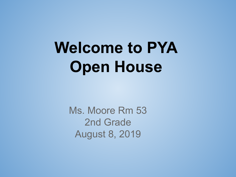## **Welcome to PYA Open House**

Ms. Moore Rm 53 2nd Grade August 8, 2019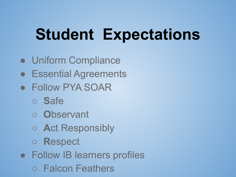## **Student Expectations**

- Uniform Compliance
- Essential Agreements
- Follow PYA SOAR
	- **S**afe
	- **O**bservant
	- **A**ct Responsibly
	- **R**espect
- Follow IB learners profiles
	- Falcon Feathers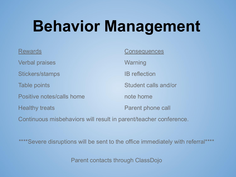## **Behavior Management**

| <b>Rewards</b>                                                    | <b>Consequences</b>  |
|-------------------------------------------------------------------|----------------------|
| <b>Verbal praises</b>                                             | Warning              |
| Stickers/stamps                                                   | <b>IB</b> reflection |
| Table points                                                      | Student calls and/or |
| Positive notes/calls home                                         | note home            |
| <b>Healthy treats</b>                                             | Parent phone call    |
| Continuous misbehaviors will result in parent/teacher conference. |                      |

\*\*\*\*Severe disruptions will be sent to the office immediately with referral\*\*\*\*

Parent contacts through ClassDojo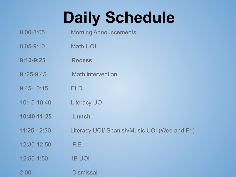## **Daily Schedule**

- 8:00-8:05 Morning Announcements
- 8:05-9:10 Math UOI
- **9:10-9:25 Recess**
- 9::25-9:45 Math intervention
- 9:45-10:15 ELD
- 10:15-10:40 Literacy UOI
- **10:40-11:25 Lunch**
- 11:25-12:30 Literacy UOI/ Spanish/Music UOI (Wed and Fri)
- 12:30-12:50 P.E.
- 12:50-1:50 IB UOI
- 2:00 Dismissal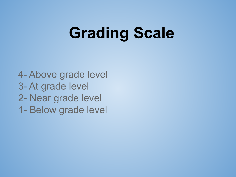## **Grading Scale**

4- Above grade level 3- At grade level 2- Near grade level 1- Below grade level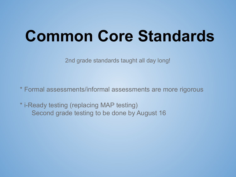### **Common Core Standards**

2nd grade standards taught all day long!

\* Formal assessments/informal assessments are more rigorous

\* i-Ready testing (replacing MAP testing) Second grade testing to be done by August 16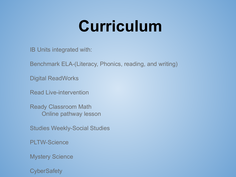### **Curriculum**

IB Units integrated with:

Benchmark ELA-(Literacy, Phonics, reading, and writing)

Digital ReadWorks

Read Live-intervention

Ready Classroom Math Online pathway lesson

Studies Weekly-Social Studies

PLTW-Science

Mystery Science

**CyberSafety**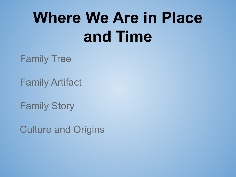## **Where We Are in Place and Time**

Family Tree

Family Artifact

Family Story

Culture and Origins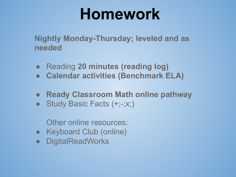#### **Homework**

**Nightly Monday-Thursday; leveled and as needed**

- Reading **20 minutes (reading log)**
- **● Calendar activities (Benchmark ELA)**
- **● Ready Classroom Math online pathway**
- Study Basic Facts (+;-;x;)

Other online resources:

- Keyboard Club (online)
- DigitalReadWorks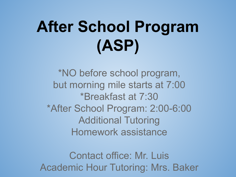# **After School Program (ASP)**

\*NO before school program, but morning mile starts at 7:00 \*Breakfast at 7:30 \*After School Program: 2:00-6:00 Additional Tutoring Homework assistance

Contact office: Mr. Luis Academic Hour Tutoring: Mrs. Baker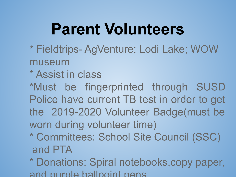### **Parent Volunteers**

- \* Fieldtrips- AgVenture; Lodi Lake; WOW museum
- \* Assist in class
- \*Must be fingerprinted through SUSD Police have current TB test in order to get the 2019-2020 Volunteer Badge(must be worn during volunteer time)
- \* Committees: School Site Council (SSC) and PTA
- \* Donations: Spiral notebooks,copy paper, and purple ballpoint pens.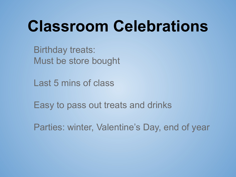## **Classroom Celebrations**

Birthday treats: Must be store bought

Last 5 mins of class

Easy to pass out treats and drinks

Parties: winter, Valentine's Day, end of year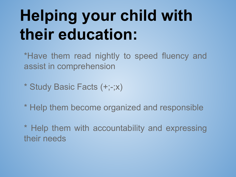## **Helping your child with their education:**

\*Have them read nightly to speed fluency and assist in comprehension

- \* Study Basic Facts (+;-;x)
- \* Help them become organized and responsible
- \* Help them with accountability and expressing their needs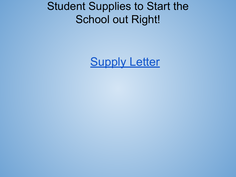#### Student Supplies to Start the School out Right!